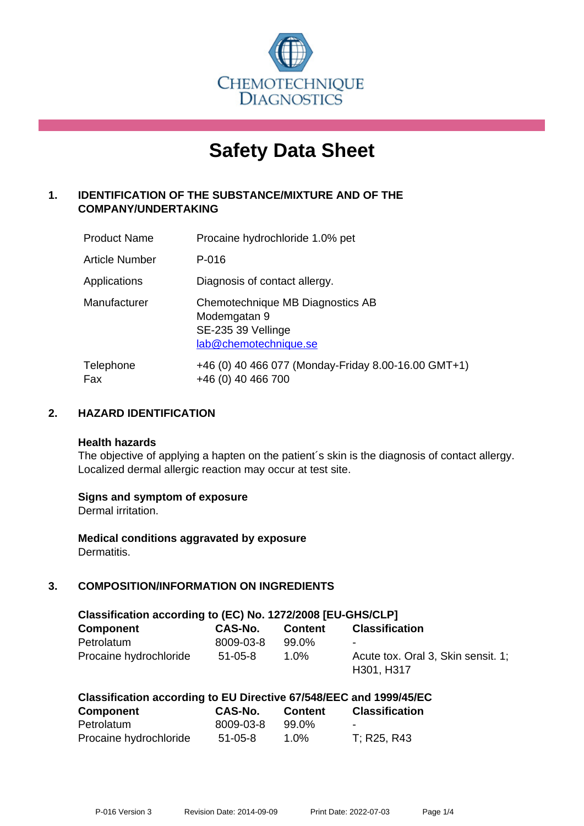

# **Safety Data Sheet**

# **1. IDENTIFICATION OF THE SUBSTANCE/MIXTURE AND OF THE COMPANY/UNDERTAKING**

| <b>Product Name</b>   | Procaine hydrochloride 1.0% pet                                                                 |
|-----------------------|-------------------------------------------------------------------------------------------------|
| <b>Article Number</b> | P-016                                                                                           |
| Applications          | Diagnosis of contact allergy.                                                                   |
| Manufacturer          | Chemotechnique MB Diagnostics AB<br>Modemgatan 9<br>SE-235 39 Vellinge<br>lab@chemotechnique.se |
| Telephone<br>Fax      | +46 (0) 40 466 077 (Monday-Friday 8.00-16.00 GMT+1)<br>+46 (0) 40 466 700                       |

## **2. HAZARD IDENTIFICATION**

#### **Health hazards**

The objective of applying a hapten on the patient's skin is the diagnosis of contact allergy. Localized dermal allergic reaction may occur at test site.

## **Signs and symptom of exposure**

Dermal irritation.

**Medical conditions aggravated by exposure** Dermatitis.

# **3. COMPOSITION/INFORMATION ON INGREDIENTS**

| Classification according to (EC) No. 1272/2008 [EU-GHS/CLP] |               |                |                                                  |  |  |
|-------------------------------------------------------------|---------------|----------------|--------------------------------------------------|--|--|
| <b>Component</b>                                            | CAS-No.       | <b>Content</b> | <b>Classification</b>                            |  |  |
| Petrolatum                                                  | 8009-03-8     | 99.0%          | $\sim$                                           |  |  |
| Procaine hydrochloride                                      | $51 - 05 - 8$ | $1.0\%$        | Acute tox. Oral 3, Skin sensit. 1:<br>H301, H317 |  |  |

| <b>Component</b>       | CAS-No.       | <b>Content</b> | <b>Classification</b> |
|------------------------|---------------|----------------|-----------------------|
| Petrolatum             | 8009-03-8     | 99.0%          | $\sim$                |
| Procaine hydrochloride | $51 - 05 - 8$ | $1.0\%$        | T; R25, R43           |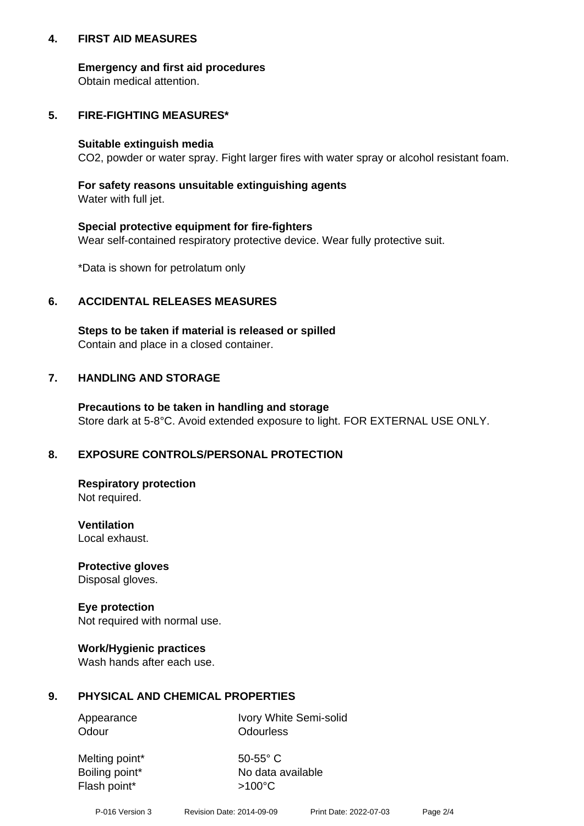## **4. FIRST AID MEASURES**

## **Emergency and first aid procedures**

Obtain medical attention.

# **5. FIRE-FIGHTING MEASURES\***

#### **Suitable extinguish media**

CO2, powder or water spray. Fight larger fires with water spray or alcohol resistant foam.

# **For safety reasons unsuitable extinguishing agents**

Water with full jet.

## **Special protective equipment for fire-fighters**

Wear self-contained respiratory protective device. Wear fully protective suit.

\*Data is shown for petrolatum only

## **6. ACCIDENTAL RELEASES MEASURES**

**Steps to be taken if material is released or spilled** Contain and place in a closed container.

# **7. HANDLING AND STORAGE**

**Precautions to be taken in handling and storage** Store dark at 5-8°C. Avoid extended exposure to light. FOR EXTERNAL USE ONLY.

# **8. EXPOSURE CONTROLS/PERSONAL PROTECTION**

**Respiratory protection** Not required.

**Ventilation** Local exhaust.

**Protective gloves** Disposal gloves.

#### **Eye protection** Not required with normal use.

## **Work/Hygienic practices**

Wash hands after each use.

## **9. PHYSICAL AND CHEMICAL PROPERTIES**

Odour **Odourless** 

Appearance Ivory White Semi-solid

Melting point\* 50-55° C Flash point\*  $>100^{\circ}$ C

Boiling point\* No data available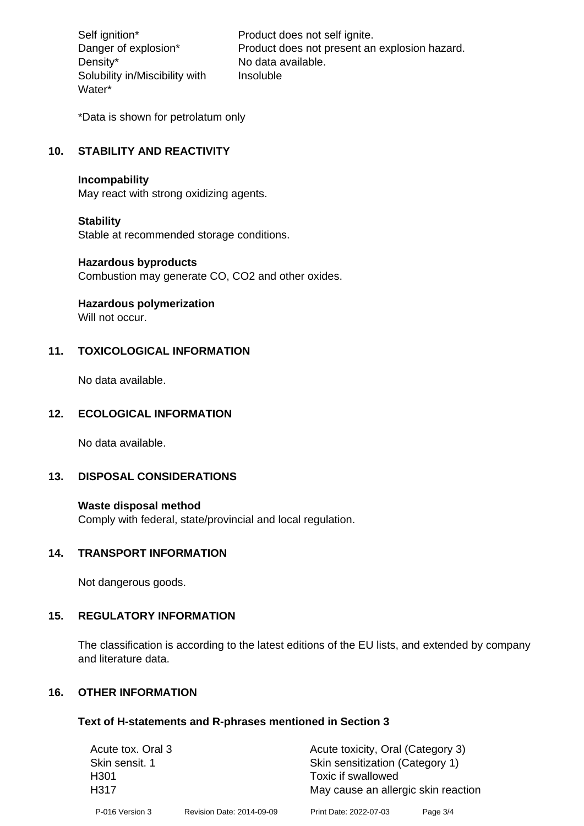Density\* No data available. Solubility in/Miscibility with Water\*

Self ignition\* Product does not self ignite. Danger of explosion\* Product does not present an explosion hazard. Insoluble

\*Data is shown for petrolatum only

# **10. STABILITY AND REACTIVITY**

#### **Incompability**

May react with strong oxidizing agents.

#### **Stability**

Stable at recommended storage conditions.

#### **Hazardous byproducts**

Combustion may generate CO, CO2 and other oxides.

**Hazardous polymerization**

Will not occur.

## **11. TOXICOLOGICAL INFORMATION**

No data available.

#### **12. ECOLOGICAL INFORMATION**

No data available.

## **13. DISPOSAL CONSIDERATIONS**

#### **Waste disposal method**

Comply with federal, state/provincial and local regulation.

#### **14. TRANSPORT INFORMATION**

Not dangerous goods.

## **15. REGULATORY INFORMATION**

The classification is according to the latest editions of the EU lists, and extended by company and literature data.

#### **16. OTHER INFORMATION**

#### **Text of H-statements and R-phrases mentioned in Section 3**

| Acute tox. Oral 3 |                           | Acute toxicity, Oral (Category 3)   |          |  |
|-------------------|---------------------------|-------------------------------------|----------|--|
| Skin sensit. 1    |                           | Skin sensitization (Category 1)     |          |  |
| H <sub>301</sub>  |                           | Toxic if swallowed                  |          |  |
| H317              |                           | May cause an allergic skin reaction |          |  |
| P-016 Version 3   | Revision Date: 2014-09-09 | Print Date: 2022-07-03              | Page 3/4 |  |